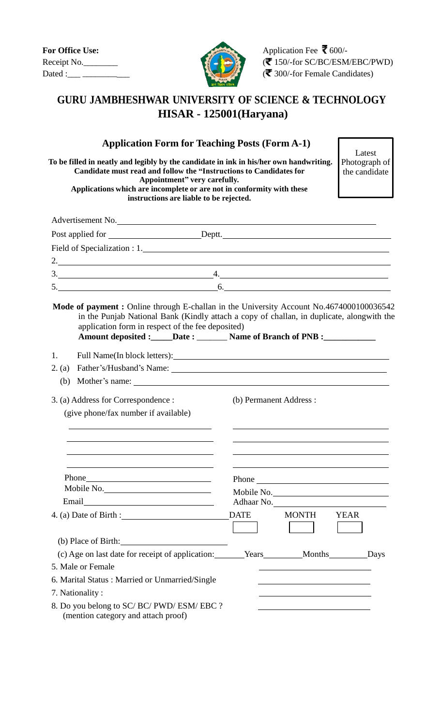| <b>For Office Use:</b> |
|------------------------|
| Receipt No.            |
| Dated :                |



Application Fee ₹ 600/- $R(\mathbf{F})$  150/-for SC/BC/ESM/EBC/PWD)  $\sqrt{\binom{2}{}}$  300/-for Female Candidates)

## **GURU JAMBHESHWAR UNIVERSITY OF SCIENCE & TECHNOLOGY HISAR - 125001(Haryana)**

### **Application Form for Teaching Posts (Form A-1)**

**To be filled in neatly and legibly by the candidate in ink in his/her own handwriting. Candidate must read and follow the "Instructions to Candidates for Appointment" very carefully. Applications which are incomplete or are not in conformity with these instructions are liable to be rejected.**

Latest Photograph of the candidate

|        |                                                                               | Advertisement No.                                                                                                                                                                    |
|--------|-------------------------------------------------------------------------------|--------------------------------------------------------------------------------------------------------------------------------------------------------------------------------------|
|        |                                                                               | Post applied for __________________________Deptt. _______________________________                                                                                                    |
|        | Field of Specialization : 1.                                                  |                                                                                                                                                                                      |
|        |                                                                               | 2.                                                                                                                                                                                   |
|        |                                                                               | $3.$ 4.                                                                                                                                                                              |
|        |                                                                               | $5.$ 6.                                                                                                                                                                              |
|        | application form in respect of the fee deposited)                             | Mode of payment: Online through E-challan in the University Account No.4674000100036542<br>in the Punjab National Bank (Kindly attach a copy of challan, in duplicate, alongwith the |
| 1.     |                                                                               |                                                                                                                                                                                      |
| 2. (a) |                                                                               |                                                                                                                                                                                      |
| (b)    |                                                                               |                                                                                                                                                                                      |
|        | 3. (a) Address for Correspondence :<br>(give phone/fax number if available)   | (b) Permanent Address :                                                                                                                                                              |
|        |                                                                               | Phone                                                                                                                                                                                |
|        | Mobile No.                                                                    | Mobile No.                                                                                                                                                                           |
|        | Email <u>___________________</u>                                              | Adhaar No.                                                                                                                                                                           |
|        | 4. (a) Date of Birth :                                                        | <b>DATE</b><br><b>MONTH</b><br><b>YEAR</b>                                                                                                                                           |
|        | (b) Place of Birth:                                                           |                                                                                                                                                                                      |
|        | (c) Age on last date for receipt of application:                              | Years Months Days                                                                                                                                                                    |
|        | 5. Male or Female                                                             |                                                                                                                                                                                      |
|        | 6. Marital Status: Married or Unmarried/Single                                |                                                                                                                                                                                      |
|        | 7. Nationality:                                                               |                                                                                                                                                                                      |
|        | 8. Do you belong to SC/BC/PWD/ESM/EBC?<br>(mention category and attach proof) |                                                                                                                                                                                      |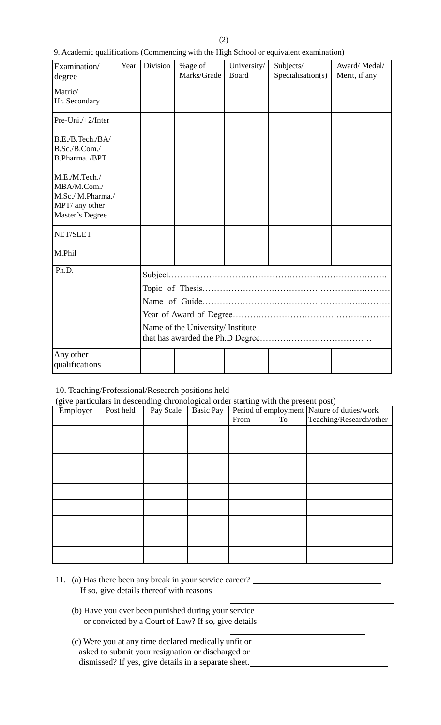| 9. Academic qualifications (Commencing with the High School or equivalent examination) |  |  |
|----------------------------------------------------------------------------------------|--|--|
|                                                                                        |  |  |

| Examination/<br>degree                                                                 | Year | Division                          | %age of<br>Marks/Grade | University/<br>Board | Subjects/<br>Specialisation(s) | Award/Medal/<br>Merit, if any |
|----------------------------------------------------------------------------------------|------|-----------------------------------|------------------------|----------------------|--------------------------------|-------------------------------|
| Matric/<br>Hr. Secondary                                                               |      |                                   |                        |                      |                                |                               |
| Pre-Uni./ $+2$ /Inter                                                                  |      |                                   |                        |                      |                                |                               |
| B.E./B.Tech./BA/<br>B.Sc./B.Com./<br>B.Pharma. /BPT                                    |      |                                   |                        |                      |                                |                               |
| M.E./M.Tech./<br>MBA/M.Com./<br>M.Sc./ M.Pharma./<br>MPT/ any other<br>Master's Degree |      |                                   |                        |                      |                                |                               |
| NET/SLET                                                                               |      |                                   |                        |                      |                                |                               |
| M.Phil                                                                                 |      |                                   |                        |                      |                                |                               |
| Ph.D.                                                                                  |      | Name of the University/ Institute |                        |                      |                                |                               |
| Any other<br>qualifications                                                            |      |                                   |                        |                      |                                |                               |

### 10. Teaching/Professional/Research positions held

(give particulars in descending chronological order starting with the present post)

| $\sqrt{2}$ $\sqrt{2}$<br>Employer | Post held | Pay Scale | <b>Basic Pay</b> |            | Period of employment Nature of duties/work |
|-----------------------------------|-----------|-----------|------------------|------------|--------------------------------------------|
|                                   |           |           |                  | From<br>To | Teaching/Research/other                    |
|                                   |           |           |                  |            |                                            |
|                                   |           |           |                  |            |                                            |
|                                   |           |           |                  |            |                                            |
|                                   |           |           |                  |            |                                            |
|                                   |           |           |                  |            |                                            |
|                                   |           |           |                  |            |                                            |
|                                   |           |           |                  |            |                                            |
|                                   |           |           |                  |            |                                            |
|                                   |           |           |                  |            |                                            |

- 11. (a) Has there been any break in your service career? If so, give details thereof with reasons \_
	- (b) Have you ever been punished during your service or convicted by a Court of Law? If so, give details
	- (c) Were you at any time declared medically unfit or asked to submit your resignation or discharged or dismissed? If yes, give details in a separate sheet.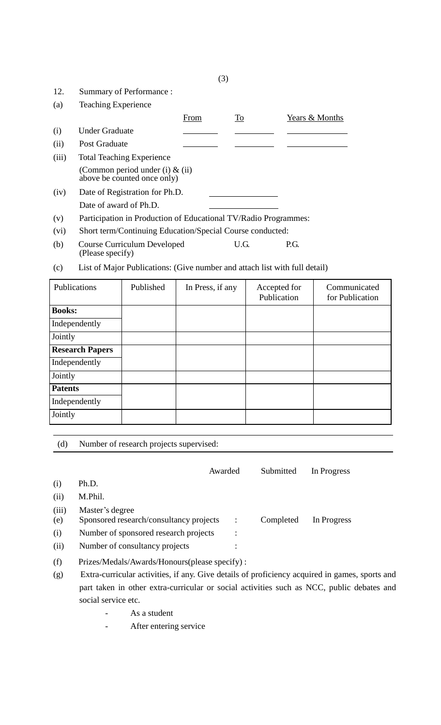| 12.   | Summary of Performance:                                           |      |      |                |
|-------|-------------------------------------------------------------------|------|------|----------------|
| (a)   | <b>Teaching Experience</b>                                        |      |      |                |
|       |                                                                   | From | To   | Years & Months |
| (i)   | <b>Under Graduate</b>                                             |      |      |                |
| (ii)  | Post Graduate                                                     |      |      |                |
| (iii) | <b>Total Teaching Experience</b>                                  |      |      |                |
|       | (Common period under (i) $\&$ (ii)<br>above be counted once only) |      |      |                |
| (iv)  | Date of Registration for Ph.D.                                    |      |      |                |
|       | Date of award of Ph.D.                                            |      |      |                |
| (v)   | Participation in Production of Educational TV/Radio Programmes:   |      |      |                |
| (vi)  | Short term/Continuing Education/Special Course conducted:         |      |      |                |
| (b)   | <b>Course Curriculum Developed</b><br>(Please specify)            |      | U.G. | P.G.           |

(c) List of Major Publications: (Give number and attach list with full detail)

| Publications           | Published | In Press, if any | Accepted for<br>Publication | Communicated<br>for Publication |
|------------------------|-----------|------------------|-----------------------------|---------------------------------|
| <b>Books:</b>          |           |                  |                             |                                 |
| Independently          |           |                  |                             |                                 |
| Jointly                |           |                  |                             |                                 |
| <b>Research Papers</b> |           |                  |                             |                                 |
| Independently          |           |                  |                             |                                 |
| Jointly                |           |                  |                             |                                 |
| <b>Patents</b>         |           |                  |                             |                                 |
| Independently          |           |                  |                             |                                 |
| Jointly                |           |                  |                             |                                 |

| (d) |  | Number of research projects supervised: |
|-----|--|-----------------------------------------|
|     |  |                                         |

|       | Awarded                                       | Submitted | In Progress |  |
|-------|-----------------------------------------------|-----------|-------------|--|
| (i)   | Ph.D.                                         |           |             |  |
| (ii)  | M.Phil.                                       |           |             |  |
| (iii) | Master's degree                               |           |             |  |
| (e)   | Sponsored research/consultancy projects       | Completed | In Progress |  |
| (i)   | Number of sponsored research projects         |           |             |  |
| (ii)  | Number of consultancy projects                |           |             |  |
| (f)   | Prizes/Medals/Awards/Honours(please specify): |           |             |  |

- (g) Extra-curricular activities, if any. Give details of proficiency acquired in games, sports and part taken in other extra-curricular or social activities such as NCC, public debates and social service etc.
	- As a student
	- After entering service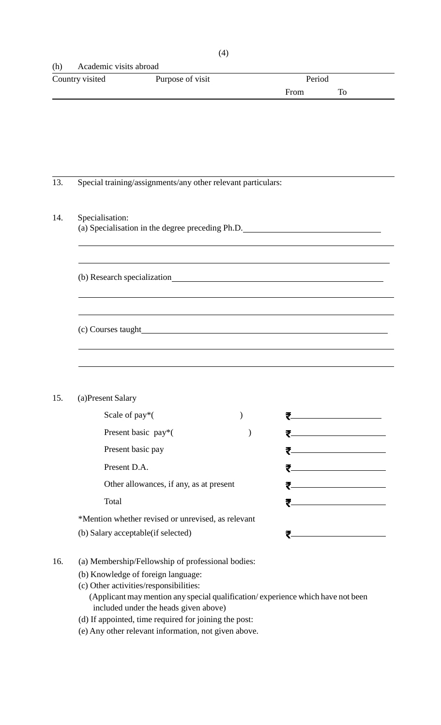### (h) Academic visits abroad

| Country visited | Purpose of visit | Period |  |
|-----------------|------------------|--------|--|
|                 |                  | From   |  |

### 13. Special training/assignments/any other relevant particulars:

### 14. Specialisation:

| (a) Specialisation in the degree preceding Ph.D. |  |  |  |  |  |  |
|--------------------------------------------------|--|--|--|--|--|--|
|--------------------------------------------------|--|--|--|--|--|--|

(b) Research specialization

(c) Courses taught

### 15. (a)Present Salary

| Scale of $pay*($                                   |  |
|----------------------------------------------------|--|
| Present basic pay*(                                |  |
| Present basic pay                                  |  |
| Present D.A.                                       |  |
| Other allowances, if any, as at present            |  |
| Total                                              |  |
| *Mention whether revised or unrevised, as relevant |  |
| (b) Salary acceptable (if selected)                |  |

16. (a) Membership/Fellowship of professional bodies:

- (b) Knowledge of foreign language:
- (c) Other activities/responsibilities: (Applicant maymention any special qualification/ experience which have not been included under the heads given above)
- (d) If appointed, time required for joining the post:

(e) Any other relevant information, not given above.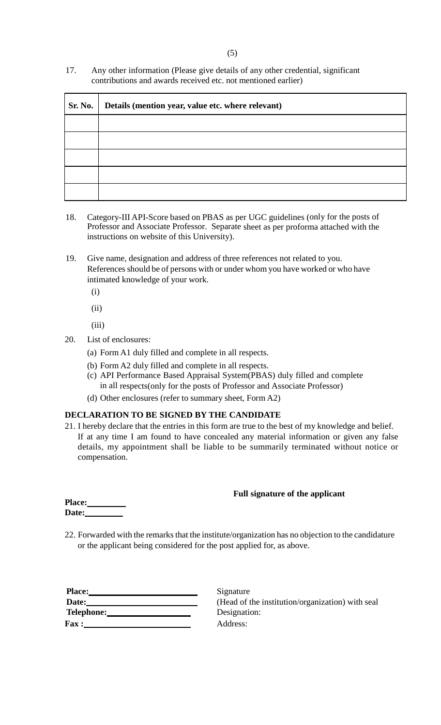17. Any other information (Please give details of any other credential, significant contributions and awards received etc. not mentioned earlier)

| Sr. No. | Details (mention year, value etc. where relevant) |
|---------|---------------------------------------------------|
|         |                                                   |
|         |                                                   |
|         |                                                   |
|         |                                                   |
|         |                                                   |

- 18. Category-III API-Score based on PBAS as per UGC guidelines (only for the posts of Professor and Associate Professor. Separate sheet as per proforma attached with the instructions on website of this University).
- 19. Give name, designation and address of three references not related to you. References should be of persons with or under whom you have worked or who have intimated knowledge of your work.
	- (i)
	- (ii)
	- (iii)
- 20. List of enclosures:
	- (a) Form A1 duly filled and complete in all respects.
	- (b) Form A2 duly filled and complete in all respects.
	- (c) API Performance Based Appraisal System(PBAS) duly filled and complete in all respects(only for the posts of Professor and Associate Professor)
	- (d) Other enclosures (refer to summary sheet, Form A2)

### **DECLARATION TO BE SIGNED BY THE CANDIDATE**

21. I hereby declare that the entries in this form are true to the best of my knowledge and belief. If at any time I am found to have concealed any material information or given any false details, my appointment shall be liable to be summarily terminated without notice or compensation.

### **Full signature of the applicant**

| <b>Place:</b> |  |
|---------------|--|
| <b>Date:</b>  |  |

22. Forwarded with the remarks that the institute/organization has no objection to the candidature or the applicant being considered for the post applied for, as above.

| Place:        |  |
|---------------|--|
| Date: $\_\_$  |  |
| Telephone:__  |  |
| <b>Fax :_</b> |  |

**Signature** (Head of the institution/organization) with seal Designation: Address: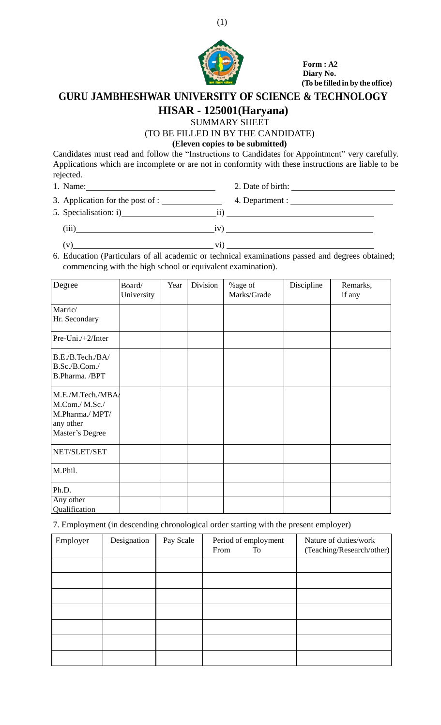

**Form : A2 Diary No. (To be filled in by the office)**

# **GURU JAMBHESHWAR UNIVERSITY OF SCIENCE & TECHNOLOGY**

## **HISAR - 125001(Haryana)**

SUMMARY SHEET (TO BE FILLED IN BY THE CANDIDATE)

### **(Eleven copies to be submitted)**

Candidates must read and follow the "Instructions to Candidates for Appointment" very carefully. Applications which are incomplete or are not in conformity with these instructions are liable to be rejected.

1. Name:

3. Application for the post of : 4. Department : 2. Date of birth:

5. Specialisation: i) ii)

 $\frac{1}{\text{iii}}$  iv)  $\frac{1}{\text{iv}}$ 

 $(v)$  vi) vi)

6. Education (Particulars of all academic or technical examinations passed and degrees obtained; commencing with the high school or equivalent examination).

| Degree                                                                                 | Board/<br>University | Year | Division | %age of<br>Marks/Grade | Discipline | Remarks,<br>if any |
|----------------------------------------------------------------------------------------|----------------------|------|----------|------------------------|------------|--------------------|
| Matric/<br>Hr. Secondary                                                               |                      |      |          |                        |            |                    |
| Pre-Uni./+2/Inter                                                                      |                      |      |          |                        |            |                    |
| B.E./B.Tech./BA/<br>B.Sc./B.Com./<br>B.Pharma. /BPT                                    |                      |      |          |                        |            |                    |
| M.E./M.Tech./MBA/<br>M.Com./ M.Sc./<br>M.Pharma./ MPT/<br>any other<br>Master's Degree |                      |      |          |                        |            |                    |
| NET/SLET/SET                                                                           |                      |      |          |                        |            |                    |
| M.Phil.                                                                                |                      |      |          |                        |            |                    |
| Ph.D.<br>Any other<br>Qualification                                                    |                      |      |          |                        |            |                    |

7. Employment (in descending chronological order starting with the present employer)

| Employer | Designation | Pay Scale | Period of employment<br>From<br>To | Nature of duties/work<br>(Teaching/Research/other) |
|----------|-------------|-----------|------------------------------------|----------------------------------------------------|
|          |             |           |                                    |                                                    |
|          |             |           |                                    |                                                    |
|          |             |           |                                    |                                                    |
|          |             |           |                                    |                                                    |
|          |             |           |                                    |                                                    |
|          |             |           |                                    |                                                    |
|          |             |           |                                    |                                                    |

(1)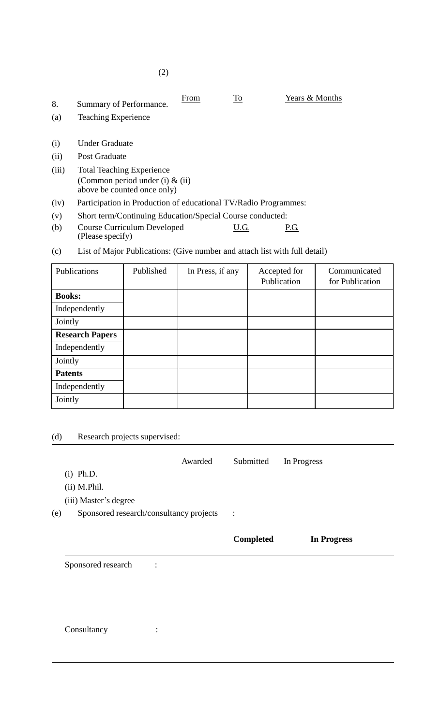| 8.<br>(a) | Summary of Performance.<br><b>Teaching Experience</b>                                                 | From | $\overline{10}$ | Years & Months |
|-----------|-------------------------------------------------------------------------------------------------------|------|-----------------|----------------|
| (i)       | <b>Under Graduate</b>                                                                                 |      |                 |                |
| (ii)      | Post Graduate                                                                                         |      |                 |                |
| (iii)     | <b>Total Teaching Experience</b><br>(Common period under (i) $\&$ (ii)<br>above be counted once only) |      |                 |                |
| (iv)      | Participation in Production of educational TV/Radio Programmes:                                       |      |                 |                |

- (v) Short term/Continuing Education/Special Course conducted:
- (b) Course Curriculum Developed U.G. P.G. (Please specify)
- (c) List of Major Publications: (Give number and attach list with full detail)

| Publications           | Published | In Press, if any | Accepted for<br>Publication | Communicated<br>for Publication |
|------------------------|-----------|------------------|-----------------------------|---------------------------------|
| <b>Books:</b>          |           |                  |                             |                                 |
| Independently          |           |                  |                             |                                 |
| Jointly                |           |                  |                             |                                 |
| <b>Research Papers</b> |           |                  |                             |                                 |
| Independently          |           |                  |                             |                                 |
| Jointly                |           |                  |                             |                                 |
| <b>Patents</b>         |           |                  |                             |                                 |
| Independently          |           |                  |                             |                                 |
| Jointly                |           |                  |                             |                                 |

(d) Research projects supervised:

Awarded Submitted In Progress

- (i) Ph.D.
- (ii) M.Phil.

(iii) Master's degree

(e) Sponsored research/consultancy projects :

| <b>Completed</b> | <b>In Progress</b> |
|------------------|--------------------|
|                  |                    |

Sponsored research :

Consultancy :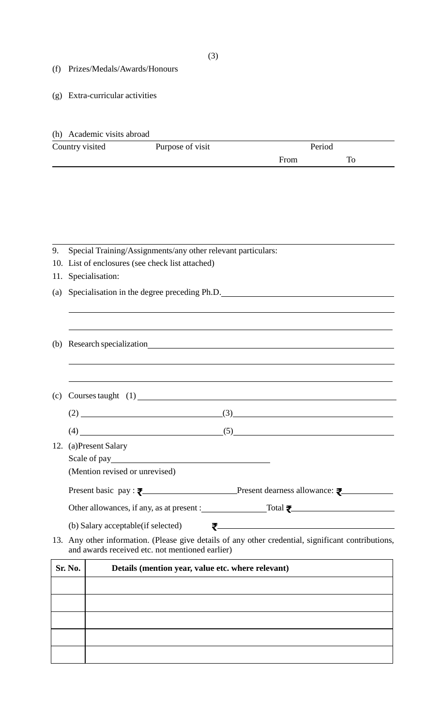- (f) Prizes/Medals/Awards/Honours
- (g) Extra-curricular activities

### (h) Academic visits abroad

| Country visited | Purpose of visit | Period |  |  |
|-----------------|------------------|--------|--|--|
|                 |                  | From   |  |  |

### 9. Special Training/Assignments/any other relevant particulars:

- 10. List of enclosures (see check list attached)
- 11. Specialisation:
- (a) Specialisation in the degree preceding Ph.D.
- (b) Research specialization

| (c) Courses taught $(1)$ |  |
|--------------------------|--|
|                          |  |

- $(4)$  (5) (5)
- 12. (a)Present Salary

Scale of pay

(Mention revised or unrevised)

Present basic pay :  $\overline{\bullet}$  Present dearness allowance:  $\overline{\bullet}$ 

Other allowances, if any, as at present : Total  $\overline{\bullet}$ 

(b) Salary acceptable(if selected)

13. Any other information. (Please give details of any other credential, significant contributions, and awards received etc. not mentioned earlier)

| Sr. No. | Details (mention year, value etc. where relevant) |  |  |
|---------|---------------------------------------------------|--|--|
|         |                                                   |  |  |
|         |                                                   |  |  |
|         |                                                   |  |  |
|         |                                                   |  |  |
|         |                                                   |  |  |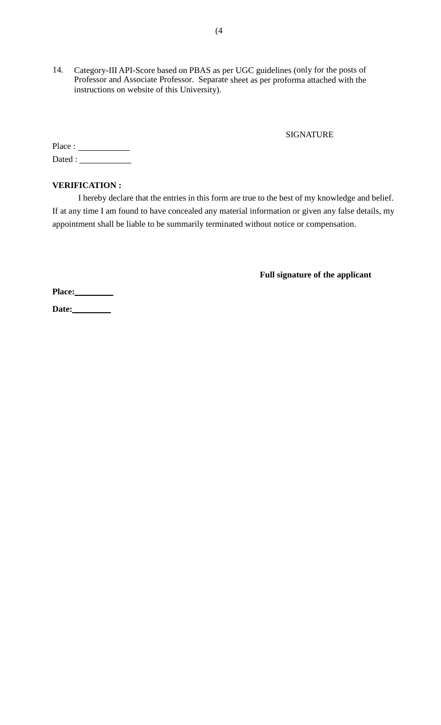14. Category-III API-Score based on PBAS as per UGC guidelines (only for the posts of Professor and Associate Professor. Separate sheet as per proforma attached with the instructions on website of this University).

### SIGNATURE

Place : Dated :

### **VERIFICATION :**

I hereby declare that the entries in this form are true to the best of my knowledge and belief. If at any time I am found to have concealed any material information or given any false details, my appointment shall be liable to be summarily terminated without notice or compensation.

**Full signature of the applicant**

**Place:**

Date: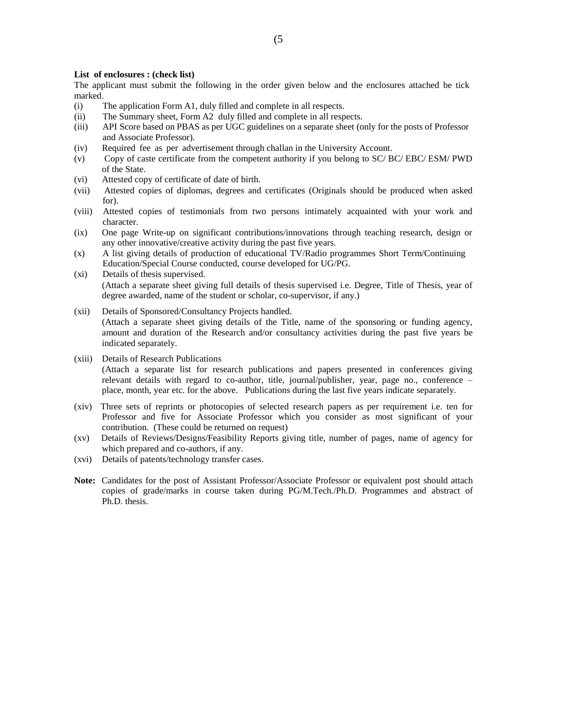#### **List of enclosures : (check list)**

The applicant must submit the following in the order given below and the enclosures attached be tick marked.

- (i) The application Form A1, duly filled and complete in all respects.
- (ii) The Summary sheet, Form A2 duly filled and complete in all respects.
- (iii) API Score based on PBAS as per UGC guidelines on a separate sheet (only for the posts of Professor and Associate Professor).
- (iv) Required fee as per advertisement through challan in the University Account.
- (v) Copy of caste certificate from the competent authority if you belong to SC/ BC/ EBC/ ESM/ PWD of the State.
- (vi) Attested copy of certificate of date of birth.
- (vii) Attested copies of diplomas, degrees and certificates (Originals should be produced when asked for).
- (viii) Attested copies of testimonials from two persons intimately acquainted with your work and character.
- (ix) One page Write-up on significant contributions/innovations through teaching research, design or any other innovative/creative activity during the past five years.
- (x) A list giving details of production of educational TV/Radio programmes Short Term/Continuing Education/Special Course conducted, course developed for UG/PG.
- (xi) Details of thesis supervised. (Attach a separate sheet giving full details of thesis supervised i.e. Degree, Title of Thesis, year of degree awarded, name of the student or scholar, co-supervisor, if any.)
- (xii) Details of Sponsored/Consultancy Projects handled. (Attach a separate sheet giving details of the Title, name of the sponsoring or funding agency, amount and duration of the Research and/or consultancy activities during the past five years be indicated separately.
- (xiii) Details of Research Publications (Attach a separate list for research publications and papers presented in conferences giving relevant details with regard to co-author, title, journal/publisher, year, page no., conference – place, month, year etc. for the above. Publications during the last five years indicate separately.
- (xiv) Three sets of reprints or photocopies of selected research papers as per requirement i.e. ten for Professor and five for Associate Professor which you consider as most significant of your contribution. (These could be returned on request)
- (xv) Details of Reviews/Designs/Feasibility Reports giving title, number of pages, name of agency for which prepared and co-authors, if any.
- (xvi) Details of patents/technology transfer cases.
- **Note:** Candidates for the post of Assistant Professor/Associate Professor or equivalent post should attach copies of grade/marks in course taken during PG/M.Tech./Ph.D. Programmes and abstract of Ph.D. thesis.